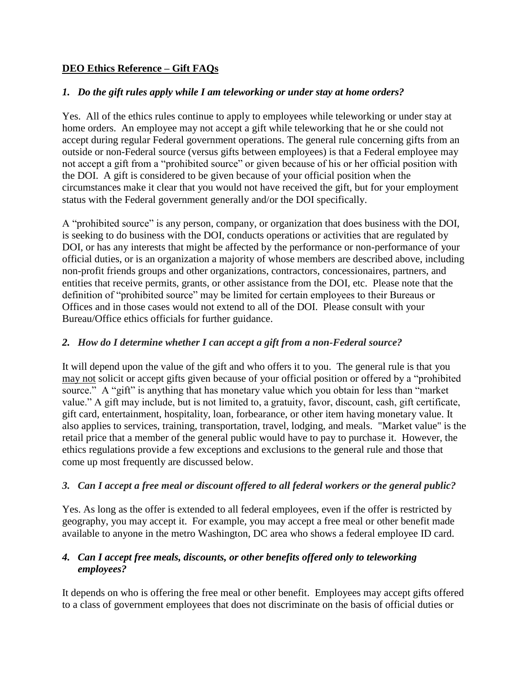## **DEO Ethics Reference – Gift FAQs**

### *1. Do the gift rules apply while I am teleworking or under stay at home orders?*

Yes. All of the ethics rules continue to apply to employees while teleworking or under stay at home orders. An employee may not accept a gift while teleworking that he or she could not accept during regular Federal government operations. The general rule concerning gifts from an outside or non-Federal source (versus gifts between employees) is that a Federal employee may not accept a gift from a "prohibited source" or given because of his or her official position with the DOI. A gift is considered to be given because of your official position when the circumstances make it clear that you would not have received the gift, but for your employment status with the Federal government generally and/or the DOI specifically.

A "prohibited source" is any person, company, or organization that does business with the DOI, is seeking to do business with the DOI, conducts operations or activities that are regulated by DOI, or has any interests that might be affected by the performance or non-performance of your official duties, or is an organization a majority of whose members are described above, including non-profit friends groups and other organizations, contractors, concessionaires, partners, and entities that receive permits, grants, or other assistance from the DOI, etc. Please note that the definition of "prohibited source" may be limited for certain employees to their Bureaus or Offices and in those cases would not extend to all of the DOI. Please consult with your Bureau/Office ethics officials for further guidance.

### *2. How do I determine whether I can accept a gift from a non-Federal source?*

It will depend upon the value of the gift and who offers it to you.The general rule is that you may not solicit or accept gifts given because of your official position or offered by a "prohibited source." A "gift" is anything that has monetary value which you obtain for less than "market" value." A gift may include, but is not limited to, a gratuity, favor, discount, cash, gift certificate, gift card, entertainment, hospitality, loan, forbearance, or other item having monetary value. It also applies to services, training, transportation, travel, lodging, and meals. "Market value" is the retail price that a member of the general public would have to pay to purchase it. However, the ethics regulations provide a few exceptions and exclusions to the general rule and those that come up most frequently are discussed below.

### *3. Can I accept a free meal or discount offered to all federal workers or the general public?*

Yes. As long as the offer is extended to all federal employees, even if the offer is restricted by geography, you may accept it. For example, you may accept a free meal or other benefit made available to anyone in the metro Washington, DC area who shows a federal employee ID card.

## *4. Can I accept free meals, discounts, or other benefits offered only to teleworking employees?*

It depends on who is offering the free meal or other benefit. Employees may accept gifts offered to a class of government employees that does not discriminate on the basis of official duties or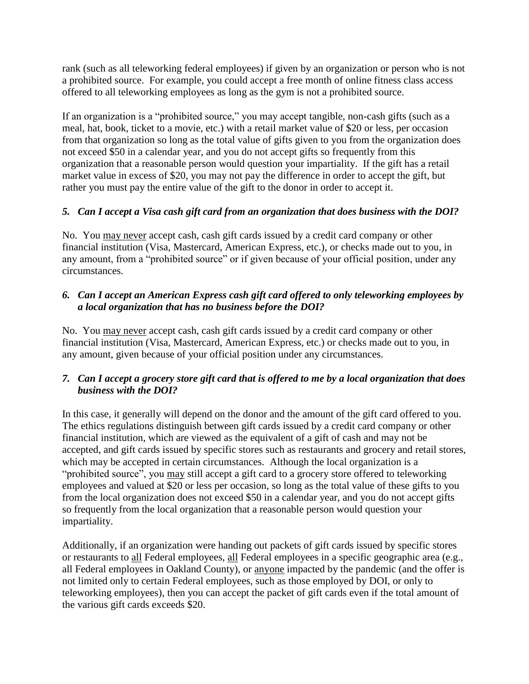rank (such as all teleworking federal employees) if given by an organization or person who is not a prohibited source. For example, you could accept a free month of online fitness class access offered to all teleworking employees as long as the gym is not a prohibited source.

If an organization is a "prohibited source," you may accept tangible, non-cash gifts (such as a meal, hat, book, ticket to a movie, etc.) with a retail market value of \$20 or less, per occasion from that organization so long as the total value of gifts given to you from the organization does not exceed \$50 in a calendar year, and you do not accept gifts so frequently from this organization that a reasonable person would question your impartiality. If the gift has a retail market value in excess of \$20, you may not pay the difference in order to accept the gift, but rather you must pay the entire value of the gift to the donor in order to accept it.

# *5. Can I accept a Visa cash gift card from an organization that does business with the DOI?*

No. You may never accept cash, cash gift cards issued by a credit card company or other financial institution (Visa, Mastercard, American Express, etc.), or checks made out to you, in any amount, from a "prohibited source" or if given because of your official position, under any circumstances.

## *6. Can I accept an American Express cash gift card offered to only teleworking employees by a local organization that has no business before the DOI?*

No. You may never accept cash, cash gift cards issued by a credit card company or other financial institution (Visa, Mastercard, American Express, etc.) or checks made out to you, in any amount, given because of your official position under any circumstances.

# *7. Can I accept a grocery store gift card that is offered to me by a local organization that does business with the DOI?*

In this case, it generally will depend on the donor and the amount of the gift card offered to you. The ethics regulations distinguish between gift cards issued by a credit card company or other financial institution, which are viewed as the equivalent of a gift of cash and may not be accepted, and gift cards issued by specific stores such as restaurants and grocery and retail stores, which may be accepted in certain circumstances. Although the local organization is a "prohibited source", you may still accept a gift card to a grocery store offered to teleworking employees and valued at \$20 or less per occasion, so long as the total value of these gifts to you from the local organization does not exceed \$50 in a calendar year, and you do not accept gifts so frequently from the local organization that a reasonable person would question your impartiality.

Additionally, if an organization were handing out packets of gift cards issued by specific stores or restaurants to all Federal employees, all Federal employees in a specific geographic area (e.g., all Federal employees in Oakland County), or anyone impacted by the pandemic (and the offer is not limited only to certain Federal employees, such as those employed by DOI, or only to teleworking employees), then you can accept the packet of gift cards even if the total amount of the various gift cards exceeds \$20.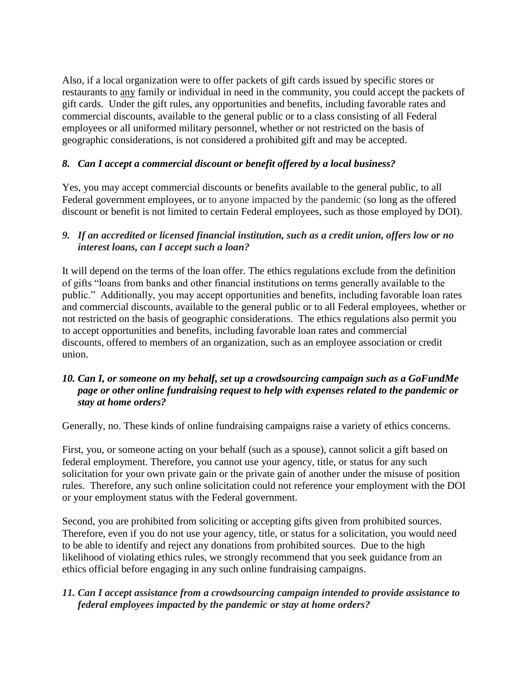Also, if a local organization were to offer packets of gift cards issued by specific stores or restaurants to any family or individual in need in the community, you could accept the packets of gift cards. Under the gift rules, any opportunities and benefits, including favorable rates and commercial discounts, available to the general public or to a class consisting of all Federal employees or all uniformed military personnel, whether or not restricted on the basis of geographic considerations, is not considered a prohibited gift and may be accepted.

### *8. Can I accept a commercial discount or benefit offered by a local business?*

Yes, you may accept commercial discounts or benefits available to the general public, to all Federal government employees, or to anyone impacted by the pandemic (so long as the offered discount or benefit is not limited to certain Federal employees, such as those employed by DOI).

### *9. If an accredited or licensed financial institution, such as a credit union, offers low or no interest loans, can I accept such a loan?*

It will depend on the terms of the loan offer. The ethics regulations exclude from the definition of gifts "loans from banks and other financial institutions on terms generally available to the public." Additionally, you may accept opportunities and benefits, including favorable loan rates and commercial discounts, available to the general public or to all Federal employees, whether or not restricted on the basis of geographic considerations. The ethics regulations also permit you to accept opportunities and benefits, including favorable loan rates and commercial discounts, offered to members of an organization, such as an employee association or credit union.

## *10. Can I, or someone on my behalf, set up a crowdsourcing campaign such as a GoFundMe page or other online fundraising request to help with expenses related to the pandemic or stay at home orders?*

Generally, no. These kinds of online fundraising campaigns raise a variety of ethics concerns.

First, you, or someone acting on your behalf (such as a spouse), cannot solicit a gift based on federal employment. Therefore, you cannot use your agency, title, or status for any such solicitation for your own private gain or the private gain of another under the misuse of position rules. Therefore, any such online solicitation could not reference your employment with the DOI or your employment status with the Federal government.

Second, you are prohibited from soliciting or accepting gifts given from prohibited sources. Therefore, even if you do not use your agency, title, or status for a solicitation, you would need to be able to identify and reject any donations from prohibited sources. Due to the high likelihood of violating ethics rules, we strongly recommend that you seek guidance from an ethics official before engaging in any such online fundraising campaigns.

## *11. Can I accept assistance from a crowdsourcing campaign intended to provide assistance to federal employees impacted by the pandemic or stay at home orders?*